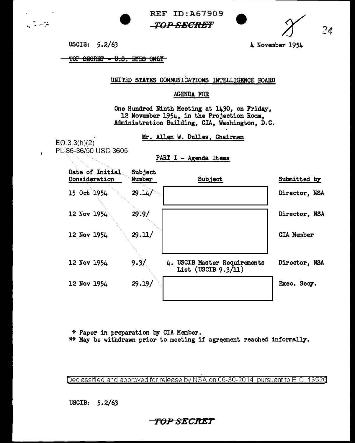**REF ID: A67909** -TOP SECRET



USCIB: 5.2/63

 $\sqrt{2}$ 

 $\lambda$ 

4 November 1954

**TOP SECRET - U.S. ETES ONLY** 

UNITED STATES COMMUNICATIONS INTELLIGENCE BOARD

## AGENDA FOR

One Hundred Ninth Meeting at 1430, on Friday, 12 November 1954, in the Projection Room, Administration Building, CIA, Washington, D.C.

Mr. Allen W. Dulles, Chairman

 $EO.3.3(h)(2)$ PL 86-36/50 USC 3605

PART I - Agenda Items

| Date of Initial<br>Consideration | Subject<br>Number | Subject                                                | Submitted by      |
|----------------------------------|-------------------|--------------------------------------------------------|-------------------|
| 15 Oct 1954                      | 29.14/            |                                                        | Director, NSA     |
| 12 Nov 1954                      | 29.9/             |                                                        | Director, NSA     |
| 12 Nov 1954                      | 29.11/            |                                                        | <b>CIA Member</b> |
| 12 Nov 1954                      | 9.3/              | 4. USCIB Master Requirements<br>List (USCIB $9.3/11$ ) | Director, NSA     |
| 12 Nov 1954                      | 29.19/            |                                                        | Exec. Secy.       |

\* Paper in preparation by CIA Member.

\*\* May be withdrawn prior to meeting if agreement reached informally.

Declassified and approved for release by NSA on 06-30-2014 pursuant to E.O. 13526

USCIB:  $5.2/63$ 

TOP SECRET